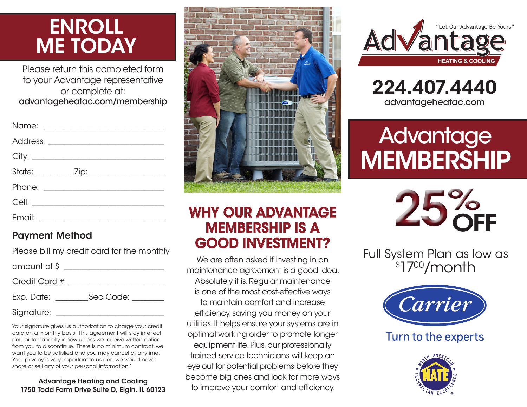# ENROLL ME TODAY

Please return this completed form to your Advantage representative or complete at: advantageheatac.com/membership

| Email: | <u> 1980 - Jan Samuel Barbara, politik e</u> ta p |
|--------|---------------------------------------------------|

#### Payment Method

| Please bill my credit card for the monthly |
|--------------------------------------------|
| amount of \$                               |
| Credit Card #                              |
| $Exp.$ Date: $\_\_$<br>Sec Code: The Sec   |
| Signature:                                 |

Your signature gives us authorization to charge your credit card on a monthly basis. This agreement will stay in effect and automatically renew unless we receive written notice from you to discontinue. There is no minimum contract, we want you to be satisfied and you may cancel at anytime. Your privacy is very important to us and we would never share or sell any of your personal information."

#### Advantage Heating and Cooling 1750 Todd Farm Drive Suite D, Elgin, IL 60123



## WHY OUR ADVANTAGE MEMBERSHIP IS A GOOD INVESTMENT?

We are often asked if investing in an maintenance agreement is a good idea. Absolutely it is. Regular maintenance is one of the most cost-effective ways to maintain comfort and increase efficiency, saving you money on your utilities. It helps ensure your systems are in optimal working order to promote longer equipment life. Plus, our professionally trained service technicians will keep an eye out for potential problems before they become big ones and look for more ways to improve your comfort and efficiency.





# **Advantage MEMBERSHIP**



Full System Plan as low as \$ 1700/month



Turn to the experts